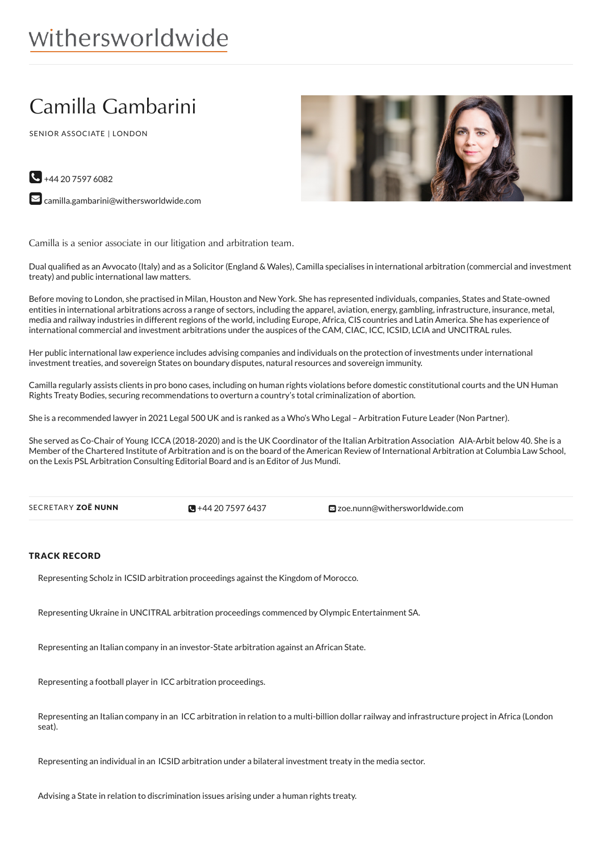# Camilla Gambarini

SENIOR ASSOCIATE | LONDON



 $\bigodot$  +44 20 7597 6082

 $\blacktriangleright$  [camilla.gambarini@withersworldwide.com](mailto:camilla.gambarini@withersworldwide.com?subject=Website Enquiry - Profile Page)

Camilla is a senior associate in our litigation and arbitration team.

Dual qualified as an Avvocato (Italy) and as a Solicitor (England & Wales), Camilla specialises in international arbitration (commercial and investment treaty) and public international law matters.

Before moving to London, she practised in Milan, Houston and New York. She has represented individuals, companies, States and State-owned entities in international arbitrations across a range of sectors, including the apparel, aviation, energy, gambling, infrastructure, insurance, metal, media and railway industries in different regions of the world, including Europe, Africa, CIS countries and Latin America. She has experience of international commercial and investment arbitrations under the auspices of the CAM, CIAC, ICC, ICSID, LCIA and UNCITRAL rules.

Her public international law experience includes advising companies and individuals on the protection of investments under international investment treaties, and sovereign States on boundary disputes, natural resources and sovereign immunity.

Camilla regularly assists clients in pro bono cases, including on human rights violations before domestic constitutional courts and the UN Human Rights Treaty Bodies, securing recommendations to overturn a country's total criminalization of abortion.

She is a recommended lawyer in 2021 Legal 500 UK and is ranked as a Who's Who Legal - Arbitration Future Leader (Non Partner).

She served as Co-Chair of Young ICCA (2018-2020) and is the UK Coordinator of the Italian Arbitration Association AIA-Arbit below 40. She is a Member of the Chartered Institute of Arbitration and is on the board of the American Review of International Arbitration at Columbia Law School, on the Lexis PSL Arbitration Consulting Editorial Board and is an Editor of Jus Mundi.

| SECRETARY ZOË NUNN | $\blacksquare$ +44 20 7597 6437 | <b>⊠</b> zoe.nunn@withersworldwide.com |  |
|--------------------|---------------------------------|----------------------------------------|--|
|--------------------|---------------------------------|----------------------------------------|--|

### TRACK RECORD

Representing Scholz in ICSID arbitration proceedings against the Kingdom of Morocco.

Representing Ukraine in UNCITRAL arbitration proceedings commenced by Olympic Entertainment SA.

Representing an Italian company in an investor-State arbitration against an African State.

Representing a football player in ICC arbitration proceedings.

Representing an Italian company in an ICCarbitration in relation to a multi-billion dollar railway and infrastructure project in Africa (London seat).

Representing an individual in an ICSID arbitration under a bilateral investment treaty in the media sector.

Advising a State in relation to discrimination issues arising under a human rights treaty.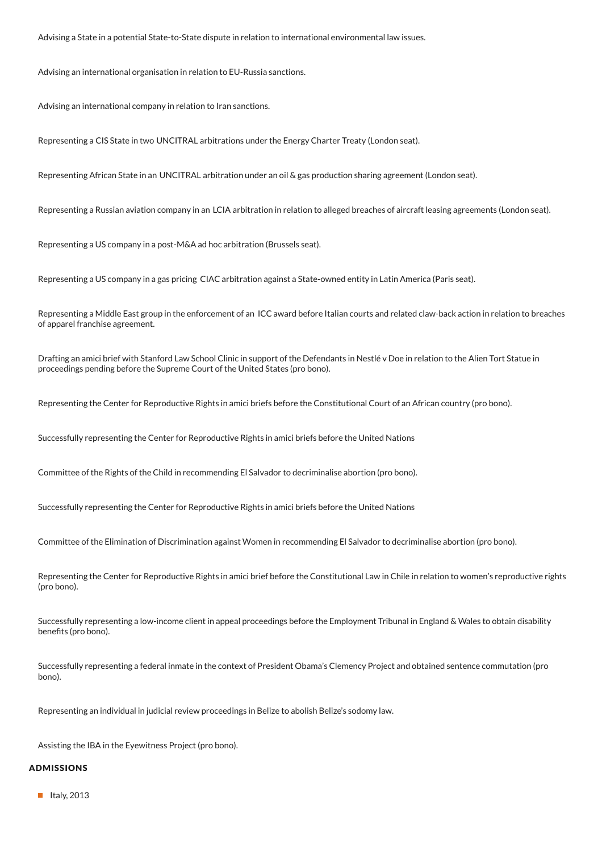Advising a State in a potential State-to-State dispute in relation to international environmental law issues.

Advising an international organisation in relation to EU-Russia sanctions.

Advising an international company in relation to Iran sanctions.

Representing a CIS State in two UNCITRAL arbitrations under the Energy Charter Treaty (London seat).

Representing African State in an UNCITRAL arbitration under an oil & gas production sharing agreement (London seat).

Representing a Russian aviation company in an LCIA arbitration in relation to alleged breaches of aircraft leasing agreements (London seat).

Representing a US company in a post-M&A ad hoc arbitration (Brussels seat).

Representing a US company in a gas pricing CIAC arbitration against a State-owned entity in Latin America (Paris seat).

Representing a Middle East group in the enforcement of an ICC award before Italian courts and related claw-back action in relation to breaches of apparel franchise agreement.

Drafting an amici brief with Stanford Law School Clinic in support of the Defendants in Nestlé v Doe in relation to the Alien Tort Statue in proceedings pending before the Supreme Court of the United States (pro bono).

Representing the Center for Reproductive Rights in amici briefs before the Constitutional Court of an African country (pro bono).

Successfully representing the Center for Reproductive Rights in amici briefs before the United Nations

Committee of the Rights of the Child in recommending El Salvador to decriminalise abortion (pro bono).

Successfully representing the Center for Reproductive Rights in amici briefs before the United Nations

Committee of the Elimination of Discrimination against Women in recommending El Salvador to decriminalise abortion (pro bono).

Representing the Center for Reproductive Rights in amici brief before the Constitutional Law in Chile in relation to women's reproductive rights (pro bono).

Successfully representing a low-income client in appeal proceedings before the Employment Tribunal in England & Wales to obtain disability benefits (pro bono).

Successfully representing a federal inmate in the context of President Obama's Clemency Project and obtained sentence commutation (pro bono).

Representing an individual in judicial review proceedings in Belize to abolish Belize's sodomy law.

Assisting the IBA in the Eyewitness Project (pro bono).

#### ADMISSIONS

 $\blacksquare$  Italy, 2013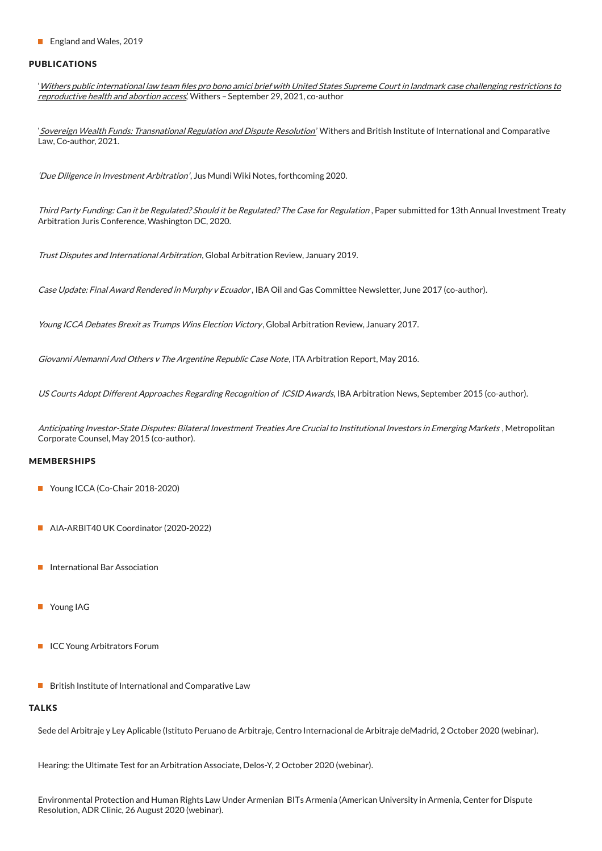■ England and Wales, 2019

#### PUBLICATIONS

'Withers public international law team files pro bono amici brief with United States Supreme Court in landmark case challenging restrictions to [reproductive](https://www.withersworldwide.com/en-gb/insight/withers_public_international_law_team_files_pro_bono_amici_brief_with_United_States_Supreme_Court) health and abortion access' Withers - September 29, 2021, co-author

'Sovereign Wealth Funds: [Transnational](https://marketing.withersworldwide.com/reaction/emsdocuments/PDFs/DR/Withers-BIICL-SWFs-transnational-regulation-dispute-resolution-2021.pdf) Regulation and Dispute Resolution' Withers and British Institute of International and Comparative Law, Co-author, 2021.

'Due Diligence in Investment Arbitration', Jus Mundi Wiki Notes, forthcoming 2020.

Third Party Funding: Can it be Regulated? Should it be Regulated? The Case for Regulation, Paper submitted for 13th Annual Investment Treaty Arbitration Juris Conference, Washington DC, 2020.

Trust Disputes and International Arbitration, Global Arbitration Review, January 2019.

Case Update: Final Award Rendered in Murphy v Ecuador, IBA Oil and Gas Committee Newsletter, June 2017 (co-author).

Young ICCA Debates Brexit as Trumps Wins Election Victory, Global Arbitration Review, January 2017.

Giovanni Alemanni And Others <sup>v</sup> The Argentine Republic Case Note, ITA Arbitration Report, May 2016.

US Courts Adopt Different Approaches Regarding Recognition of ICSID Awards, IBA Arbitration News, September 2015 (co-author).

Anticipating Investor-State Disputes: Bilateral Investment Treaties Are Crucial to Institutional Investors in Emerging Markets, Metropolitan Corporate Counsel, May 2015 (co-author).

#### MEMBERSHIPS

- Young ICCA (Co-Chair 2018-2020)
- AIA-ARBIT40 UK Coordinator (2020-2022)
- International Bar Association
- **Young IAG**
- **ICC Young Arbitrators Forum**
- $\blacksquare$  British Institute of International and Comparative Law

#### **TALKS**

Sede del Arbitraje y Ley Aplicable (Istituto Peruano de Arbitraje, Centro Internacional de Arbitraje deMadrid, 2 October 2020 (webinar).

Hearing: the Ultimate Test for an Arbitration Associate, Delos-Y, 2 October 2020 (webinar).

Environmental Protection and Human Rights Law Under Armenian BITs Armenia (American University in Armenia, Center for Dispute Resolution, ADR Clinic, 26 August 2020 (webinar).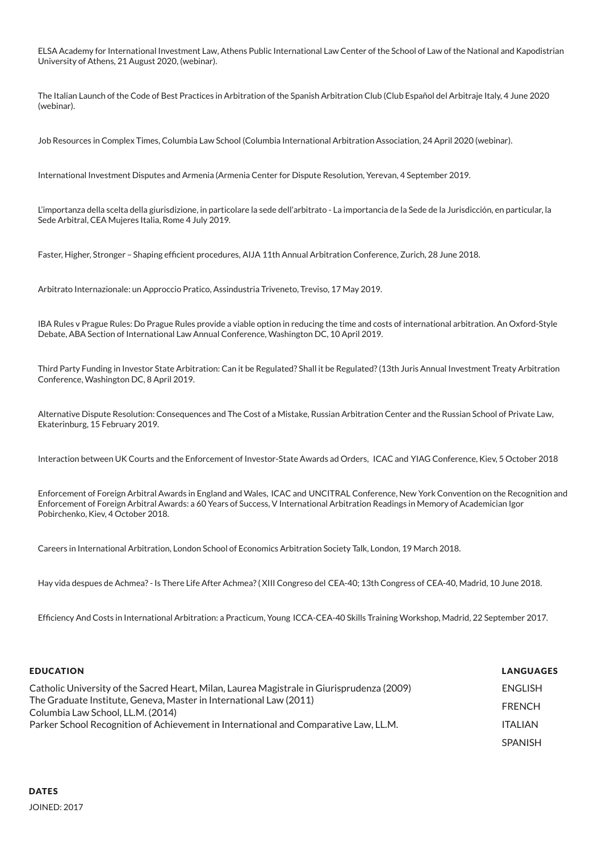ELSA Academy for International Investment Law, Athens Public International Law Center of the School of Law of the National and Kapodistrian University of Athens, 21 August 2020, (webinar).

The Italian Launch of the Code of Best Practices in Arbitration of the Spanish Arbitration Club (Club Español del Arbitraje Italy, 4 June 2020 (webinar).

Job Resources in Complex Times, Columbia Law School (Columbia International Arbitration Association, 24 April 2020 (webinar).

International Investment Disputes and Armenia (Armenia Center for Dispute Resolution, Yerevan, 4 September 2019.

L'importanza della scelta della giurisdizione, in particolare la sede dell'arbitrato - La importancia de la Sede de la Jurisdicción, en particular, la Sede Arbitral, CEA Mujeres Italia, Rome 4 July 2019.

Faster, Higher, Stronger - Shaping efficient procedures, AIJA 11th Annual Arbitration Conference, Zurich, 28 June 2018.

Arbitrato Internazionale: un Approccio Pratico, Assindustria Triveneto, Treviso, 17 May 2019.

IBA Rules v Prague Rules: Do Prague Rules provide a viable option in reducing the time and costs of international arbitration. An Oxford-Style Debate, ABA Section of International Law Annual Conference, Washington DC, 10 April 2019.

Third Party Funding in Investor State Arbitration: Can it be Regulated? Shall it be Regulated?(13th Juris Annual Investment Treaty Arbitration Conference, Washington DC, 8 April 2019.

Alternative Dispute Resolution: Consequences and The Cost of a Mistake, Russian Arbitration Center and the Russian School of Private Law, Ekaterinburg, 15 February 2019.

Interaction between UK Courts and the Enforcement of Investor-State Awards ad Orders, ICAC and YIAG Conference, Kiev, 5 October 2018

Enforcement of Foreign Arbitral Awards in England and Wales, ICAC and UNCITRAL Conference, New York Convention on the Recognition and Enforcement of Foreign Arbitral Awards: a 60 Years of Success, V International Arbitration Readings in Memory of Academician Igor Pobirchenko, Kiev, 4 October 2018.

Careers in International Arbitration, London School of Economics Arbitration Society Talk, London, 19 March 2018.

Hay vida despues de Achmea?- Is There Life After Achmea?( XIII Congreso del CEA-40; 13th Congress of CEA-40, Madrid, 10 June 2018.

Efciency And Costs in International Arbitration: a Practicum, Young ICCA-CEA-40 Skills Training Workshop, Madrid, 22 September 2017.

| <b>EDUCATION</b>                                                                                        | <b>LANGUAGES</b> |
|---------------------------------------------------------------------------------------------------------|------------------|
| Catholic University of the Sacred Heart, Milan, Laurea Magistrale in Giurisprudenza (2009)              | ENGLISH          |
| The Graduate Institute, Geneva, Master in International Law (2011)<br>Columbia Law School, LL.M. (2014) | <b>FRENCH</b>    |
| Parker School Recognition of Achievement in International and Comparative Law, LL.M.                    | <b>ITALIAN</b>   |
|                                                                                                         | <b>SPANISH</b>   |